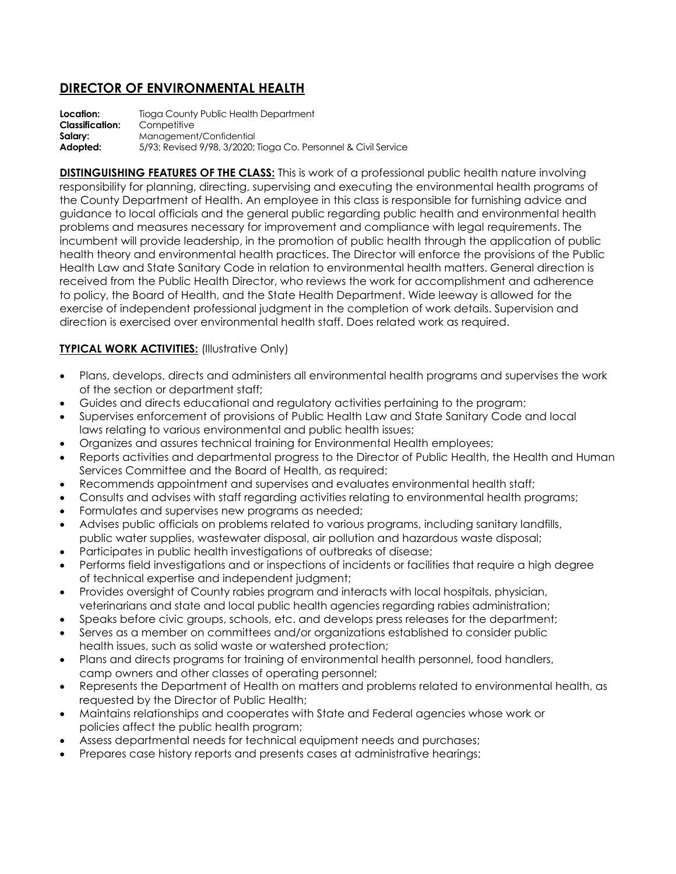## **DIRECTOR OF ENVIRONMENTAL HEALTH**

**Location:** Tioga County Public Health Department **Classification:** Competitive **Salary:** Management/Confidential **Adopted:** 5/93; Revised 9/98, 3/2020; Tioga Co. Personnel & Civil Service

**DISTINGUISHING FEATURES OF THE CLASS:** This is work of a professional public health nature involving responsibility for planning, directing, supervising and executing the environmental health programs of the County Department of Health. An employee in this class is responsible for furnishing advice and guidance to local officials and the general public regarding public health and environmental health problems and measures necessary for improvement and compliance with legal requirements. The incumbent will provide leadership, in the promotion of public health through the application of public health theory and environmental health practices. The Director will enforce the provisions of the Public Health Law and State Sanitary Code in relation to environmental health matters. General direction is received from the Public Health Director, who reviews the work for accomplishment and adherence to policy, the Board of Health, and the State Health Department. Wide leeway is allowed for the exercise of independent professional judgment in the completion of work details. Supervision and direction is exercised over environmental health staff. Does related work as required.

## **TYPICAL WORK ACTIVITIES:** (Illustrative Only)

- Plans, develops, directs and administers all environmental health programs and supervises the work of the section or department staff;
- Guides and directs educational and regulatory activities pertaining to the program;
- Supervises enforcement of provisions of Public Health Law and State Sanitary Code and local laws relating to various environmental and public health issues;
- Organizes and assures technical training for Environmental Health employees;
- Reports activities and departmental progress to the Director of Public Health, the Health and Human Services Committee and the Board of Health, as required;
- Recommends appointment and supervises and evaluates environmental health staff;
- Consults and advises with staff regarding activities relating to environmental health programs;
- Formulates and supervises new programs as needed;
- Advises public officials on problems related to various programs, including sanitary landfills, public water supplies, wastewater disposal, air pollution and hazardous waste disposal;
- Participates in public health investigations of outbreaks of disease;
- Performs field investigations and or inspections of incidents or facilities that require a high degree of technical expertise and independent judgment;
- Provides oversight of County rabies program and interacts with local hospitals, physician, veterinarians and state and local public health agencies regarding rabies administration;
- Speaks before civic groups, schools, etc. and develops press releases for the department;
- Serves as a member on committees and/or organizations established to consider public health issues, such as solid waste or watershed protection;
- Plans and directs programs for training of environmental health personnel, food handlers, camp owners and other classes of operating personnel;
- Represents the Department of Health on matters and problems related to environmental health, as requested by the Director of Public Health;
- Maintains relationships and cooperates with State and Federal agencies whose work or policies affect the public health program;
- Assess departmental needs for technical equipment needs and purchases;
- Prepares case history reports and presents cases at administrative hearings;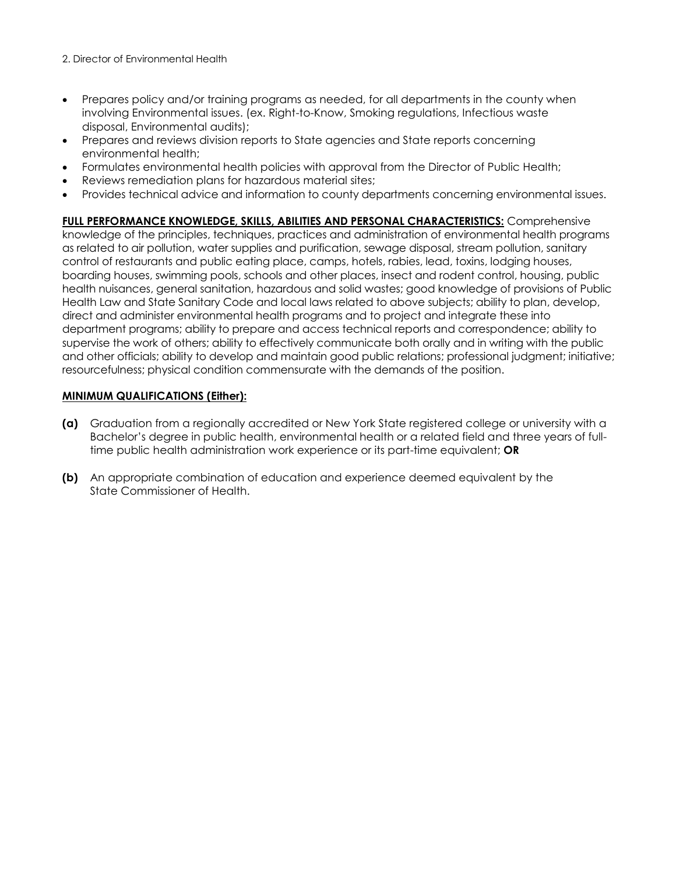- 2. Director of Environmental Health
- Prepares policy and/or training programs as needed, for all departments in the county when involving Environmental issues. (ex. Right-to-Know, Smoking regulations, Infectious waste disposal, Environmental audits);
- Prepares and reviews division reports to State agencies and State reports concerning environmental health;
- Formulates environmental health policies with approval from the Director of Public Health;
- Reviews remediation plans for hazardous material sites;
- Provides technical advice and information to county departments concerning environmental issues.

**FULL PERFORMANCE KNOWLEDGE, SKILLS, ABILITIES AND PERSONAL CHARACTERISTICS:** Comprehensive knowledge of the principles, techniques, practices and administration of environmental health programs as related to air pollution, water supplies and purification, sewage disposal, stream pollution, sanitary control of restaurants and public eating place, camps, hotels, rabies, lead, toxins, lodging houses, boarding houses, swimming pools, schools and other places, insect and rodent control, housing, public health nuisances, general sanitation, hazardous and solid wastes; good knowledge of provisions of Public Health Law and State Sanitary Code and local laws related to above subjects; ability to plan, develop, direct and administer environmental health programs and to project and integrate these into department programs; ability to prepare and access technical reports and correspondence; ability to supervise the work of others; ability to effectively communicate both orally and in writing with the public and other officials; ability to develop and maintain good public relations; professional judgment; initiative; resourcefulness; physical condition commensurate with the demands of the position.

## **MINIMUM QUALIFICATIONS (Either):**

- **(a)** Graduation from a regionally accredited or New York State registered college or university with a Bachelor's degree in public health, environmental health or a related field and three years of fulltime public health administration work experience or its part-time equivalent; **OR**
- **(b)** An appropriate combination of education and experience deemed equivalent by the State Commissioner of Health.